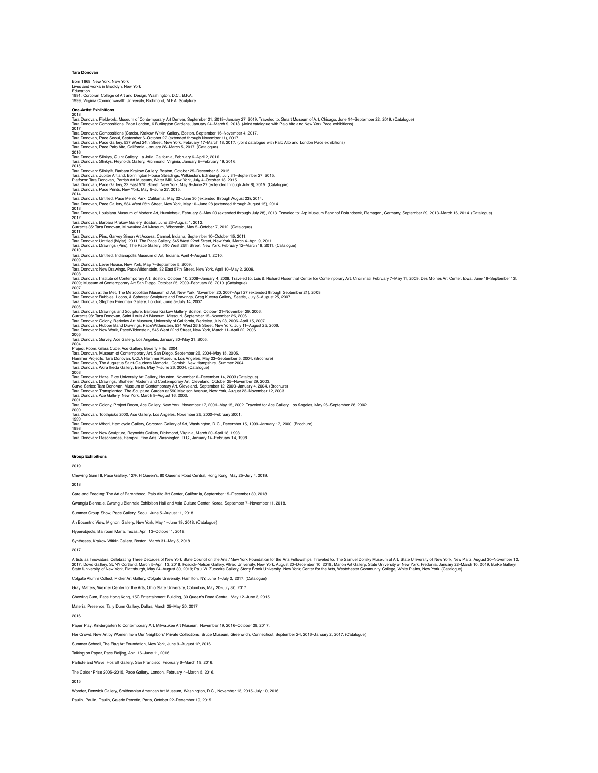Education 1991, Corcoran College of Art and Design, Washington, D.C., B.F.A. 1999, Virginia Commonwealth University, Richmond, M.F.A. Sculpture **One-Artist Exhibitions** 2018 Tara Donovan: Fieldwork, Museum of Contemporary Art Denver, September 21, 2019-January 27, 2019. Traveled to: Smart Museum of Art, Chicago, June 14–September 22, 2019. (Catalogue)<br>Tara Donovan: Compositions, Pace London, 2017 Tara Donovan: Compositions (Cards), Krakow Witkin Gallery, Boston, September 16–November 4, 2017. Tara Donovan, Pace Seoul, September 6–October 22 (extended through November 11), 2017.<br>Tara Donovan, Pace Gallery, 537 West 24th Street, New York, February 17–March 18, 2017. (Joint catalogue with Palo Alto and London Pace 2016 Tara Donovan: Slinkys, Quint Gallery, La Jolla, California, February 6–April 2, 2016. Tara Donovan: Slinkys, Reynolds Gallery, Richmond, Virginia, January 8–February 19, 2016. 2015 Tara Donovan: Slinky®, Barbara Krakow Gallery, Boston, October 25–December 5, 2015. Tara Donovan, Jupiter Artland, Bonnington House Steadings, Wilkieston, Edinburgh, July 31–September 27, 2015.<br>Platform: Tara Donovan, Parrish Art Museum, Water Mill, New York, July 4–October 18, 2015.<br>Tara Donovan, Pace Pr Tara Donovan: Untilted, Paco Menio Park, Californis, May 22–June 30 (extended through August 23), 2014.<br>Tara Donovan, Pace Gallery, 534 West 25th Street, New York, May 10–June 28 (extended through July 18, 2014.<br>Tara Donov  $2012$ Tara Donovan, Barbara Krakow Gallery, Boston, June 23–August 1, 2012. Currents 35: Tara Donovan, Milwaukee Art Museum, Wisconsin, May 5–October 7, 2012. (Catalogue) 2011<br>Tara Donovan: Pins, Garvey Simon Art Access, Carmel, Indiana, September 10–October 15, 2011.<br>Tara Donovan: Untitled (Mylar), 2011, The Pace Gallery, 545 West 22nd Street, New York, March 4–April 9, 2011.<br>Tara Donovan: 2010 Tara Donovan: Untitled, Indianapolis Museum of Art, Indiana, April 4–August 1, 2010. Tara Donovan, Lever House, New York, May 7-September 5, 2009. Tara Donovan, Lever House, New York, May 7–September 5, 2009. Tara Donovan: New Drawings, PaceWildenstein, 32 East 57th Street, New York, April 10–May 2, 2009. 2008<br>Tara Donovan, Institute of Contemporary Art, Boston, October 10, 2008–Tanuary 4, 2009. Traveled to: Lois & Richard Rosenthal Center for Contemporary Art, Cincinnati, February 7–May 11, 2009; Des Moines Art Center, Iow Tara Donovan at the Met, The Metropolitan Museum of Art, New York, November 20, 2007–April 27 (extended through September 21), 2008.<br>Tara Donovan: Bubbles, Loops, & Spheres: Sculpture and Drawings, Greg Kucera Gallery, Se 2006<br>Tara Donovan: Drawings and Sculpture, Barbara Krakow Gallery, Boston, October 21–November 29, 2006.<br>Currents 98: Tara Donovan, Saint Louis Art Museum, Missouri, September 15–November 26, 2006.<br>Tara Donovan: Rubber Ban Tara Donovan: Survey, Ace Gallery, Los Angeles, January 30–May 31, 2005. 2004<br>Project Room: Glass Cube, Ace Gallery, Beverly Hills, 2004.<br>Tara Donovan, Museum of Contemporary Art, San Diego, September 26, 2004–May 15, 2005.<br>Hammer Projects: Tara Donovan, UCLA Hammer Museum, Los Angeles, May 23– 2003<br>Tara Donovan: Haze, Rice University Art Gallery, Houston, November 6–December 14, 2003 (Catalogue)<br>Tara Donovan: Drawings, Shaheen Modern and Contemporary Art, Cleveland, October 25–November 29, 2003.<br>Curve Series: Tr 2001 Tara Donovan: Colony, Project Room, Ace Gallery, New York, November 17, 2001–May 15, 2002. Traveled to: Ace Gallery, Los Angeles, May 26–September 28, 2002. 2000 Tara Donovan: Toothpicks 2000, Ace Gallery, Los Angeles, November 25, 2000–February 2001. 1999 Tara Donovan: Whorl, Hemicycle Gallery, Corcoran Gallery of Art, Washington, D.C., December 15, 1999–January 17, 2000. (Brochure) 1998 Tara Donovan: New Sculpture, Reynolds Gallery, Richmond, Virginia, March 20–April 18, 1998. Tara Donovan: Resonances, Hemphill Fine Arts. Washington, D.C., January 14–February 14, 1998. **Group Exhibitions** 2019 Chewing Gum III, Pace Gallery, 12/F, H Queen's, 80 Queen's Road Central, Hong Kong, May 25–July 4, 2019. 2018 Care and Feeding: The Art of Parenthood, Palo Alto Art Center, California, September 15–December 30, 2018. Gwangju Biennale, Gwangju Biennale Exhibition Hall and Asia Culture Center, Korea, September 7–November 11, 2018. Summer Group Show, Pace Gallery, Seoul, June 5–August 11, 2018. An Eccentric View, Mignoni Gallery, New York, May 1–June 19, 2018. (Catalogue) Hyperobjects, Ballroom Marfa, Texas, April 13–October 1, 2018. Syntheses, Krakow Witkin Gallery, Boston, March 31–May 5, 2018. 2017 Artists as Innovators: Celebrating Three Decades of New York State Council on the Arts / New York Foundation for the Arts Fellowships. Traveled to: The Samuel Dorsky Museum of Art, State University of New York, New Paltz, Colgate Alumni Collect, Picker Art Gallery, Colgate University, Hamilton, NY, June 1–July 2, 2017. (Catalogue) Gray Matters, Wexner Center for the Arts, Ohio State University, Columbus, May 20–July 30, 2017. Chewing Gum, Pace Hong Kong, 15C Entertainment Building, 30 Queen's Road Central, May 12–June 3, 2015. Material Presence, Tally Dunn Gallery, Dallas, March 25–May 20, 2017. 2016

Paper Play: Kindergarten to Contemporary Art, Milwaukee Art Museum, November 19, 2016–October 29, 2017.

Her Crowd: New Art by Women from Our Neighbors' Private Collections, Bruce Museum, Greenwich, Connecticut, September 24, 2016–January 2, 2017. (Catalogue)

School, The Flag Art Foundation, New York, June 9–August 12, 2016.

Talking on Paper, Pace Beijing, April 16–June 11, 2016.

Particle and Wave, Hosfelt Gallery, San Francisco, February 6–March 19, 2016.

The Calder Prize 2005–2015, Pace Gallery, London, February 4–March 5, 2016.

2015

Wonder, Renwick Gallery, Smithsonian American Art Museum, Washington, D.C., November 13, 2015–July 10, 2016.

Paulin, Paulin, Paulin, Galerie Perrotin, Paris, October 22–December 19, 2015.

## **Tara D**

Born 1969, New York, New York Lives and works in Brooklyn, New York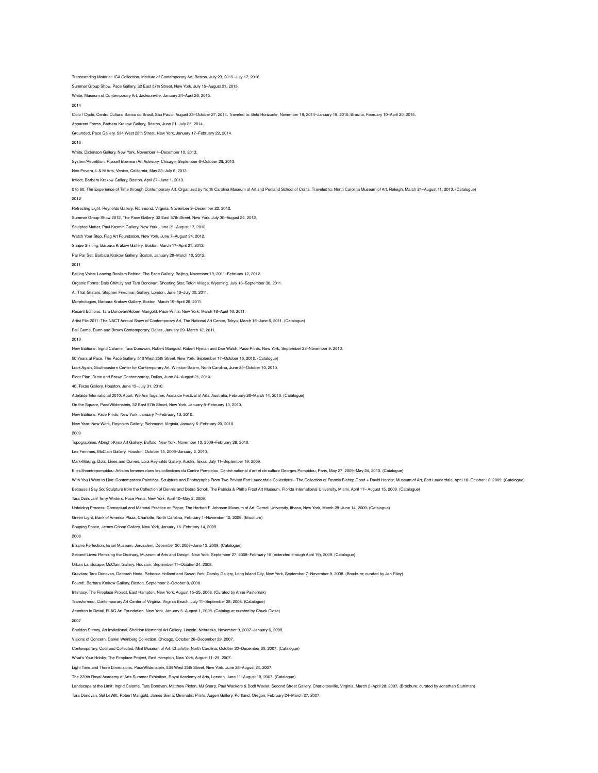Transcending Material: ICA Collection, Institute of Contemporary Art, Boston, July 23, 2015–July 17, 2016. Summer Group Show, Pace Gallery, 32 East 57th Street, New York, July 15–August 21, 2015. White, Museum of Contemporary Art, Jacksonville, January 24–April 26, 2015. 2014 Ciclo / Cycle, Centro Cultural Banco do Brasil, São Paulo, August 23–October 27, 2014. Traveled to: Belo Horizonte, November 18, 2014–January 19, 2015; Brasilia, February 10–April 20, 2015. Apparent Forms, Barbara Krakow Gallery, Boston, June 21–July 25, 2014. Grounded, Pace Gallery. 534 West 25th Street, New York, January 17–February 22, 2014. 2013 White, Dickinson Gallery, New York, November 4–December 10, 2013. System/Repetition, Russell Bowman Art Advisory, Chicago, September 6–October 26, 2013. Neo Povera, L & M Arts, Venice, California, May 23–July 6, 2013. Inflect, Barbara Krakow Gallery, Boston, April 27–June 1, 2013. 0 to 60: The Experience of Time through Contemporary Art. Organized by North Carolina Museum of Art and Penland School of Crafts. Traveled to: North Carolina Museum of Art, Raleigh, March 24-August 11, 2013. (Catalogue) 2012 Refracting Light, Reynolds Gallery, Richmond, Virginia, November 2–December 22, 2012. Summer Group Show 2012, The Pace Gallery, 32 East 57th Street, New York, July 30–August 24, 2012. Sculpted Matter, Paul Kasmin Gallery, New York, June 21–August 17, 2012. Watch Your Step, Flag Art Foundation, New York, June 7–August 24, 2012. Shape Shifting, Barbara Krakow Gallery, Boston, March 17–April 21, 2012. Par Par Set, Barbara Krakow Gallery, Boston, January 28–March 10, 2012. 2011 Beijing Voice: Leaving Realism Behind, The Pace Gallery, Beijing, November 19, 2011–February 12, 2012. Organic Forms: Dale Chihuly and Tara Donovan, Shooting Star, Teton Village, Wyoming, July 13–September 30, 2011. All That Glisters, Stephen Friedman Gallery, London, June 10–July 30, 2011. Morphologies, Barbara Krakow Gallery, Boston, March 19–April 26, 2011. Recent Editions: Tara Donovan/Robert Mangold, Pace Prints, New York, March 18–April 16, 2011. Artist File 2011: The NACT Annual Show of Contemporary Art, The National Art Center, Tokyo, March 16–June 6, 2011. (Catalogue) Ball Game, Dunn and Brown Contemporary, Dallas, January 29–March 12, 2011. 2010 New Editions: Ingrid Calame, Tara Donovan, Robert Mangold, Robert Ryman and Dan Walsh, Pace Prints, New York, September 23–November 9, 2010. 50 Years at Pace, The Pace Gallery, 510 West 25th Street, New York, September 17–October 16, 2010. (Catalogue) Look Again, Southeastern Center for Contemporary Art, Winston-Salem, North Carolina, June 25–October 10, 2010. Floor Plan, Dunn and Brown Contemporary, Dallas, June 24–August 21, 2010. 40, Texas Gallery, Houston, June 15–July 31, 2010. Adelaide International 2010: Apart, We Are Together, Adelaide Festival of Arts, Australia, February 26–March 14, 2010. (Catalogue) On the Square, PaceWildenstein, 32 East 57th Street, New York, January 8–February 13, 2010. New Editions, Pace Prints, New York, January 7–February 13, 2010. New Year: New Work, Reynolds Gallery, Richmond, Virginia, January 6–February 20, 2010. 2009 Topographies, Albright-Knox Art Gallery, Buffalo, New York, November 13, 2009–February 28, 2010. Les Femmes, McClain Gallery, Houston, October 15, 2009–January 2, 2010. Mark-Making: Dots, Lines and Curves, Lora Reynolds Gallery, Austin, Texas, July 11–September 19, 2009. Elles@centrepompidou: Artistes femmes dans les collections du Centre Pompidou, Centré national d'art et de culture Georges Pompidou, Paris, May 27, 2009–May 24, 2010. (Catalogue) With You I Want to Live: Contemporary Paintings, Sculpture and Photographs From Two Private Fort Lauderdale Collections-The Collection of Francie Bishop Good + David Horvitz, Museum of Art, Fort Lauderdale, April 18-Octobe ecause I Say So: Sculpture from the Collection of Dennis and Debra Scholl, The Patricia & Phillip Frost Art Museum, Florida International University, Miami, April 17– August 15, 2009. (Catalogue) Tara Donovan/ Terry Winters, Pace Prints, New York, April 10–May 2, 2009. Unfolding Process: Conceptual and Material Practice on Paper, The Herbert F. Johnson Museum of Art, Cornell University, Ithaca, New York, March 28–June 14, 2009. (Catalogue) Green Light, Bank of America Plaza, Charlotte, North Carolina, February 1–November 10, 2009. (Brochure) Shaping Space, James Cohan Gallery, New York, January 16–February 14, 2009. 2008 Bizarre Perfection, Israel Museum, Jerusalem, December 20, 2008–June 13, 2009. (Catalogue) Second Lives: Remixing the Ordinary, Museum of Arts and Design, New York, September 27, 2008–February 15 (extended through April 19), 2009. (Catalogue) Urban Landscape, McClain Gallery, Houston, September 11–October 24, 2008. Gravitas: Tara Donovan, Deborah Hede, Rebecca Holland and Susan York, Dorsky Gallery, Long Island City, New York, September 7–November 9, 2008. (Brochure; curated by Jan Riley) Found!, Barbara Krakow Gallery, Boston, September 2–October 8, 2008. Intimacy, The Fireplace Project, East Hampton, New York, August 15-25, 2008. (Curated by Anne Paster Transformed, Contemporary Art Center of Virginia, Virginia Beach, July 11–September 28, 2008. (Catalogue) Attention to Detail, FLAG Art Foundation, New York, January 5–August 1, 2008. (Catalogue; curated by Chuck Close) 2007 Sheldon Survey, An Invitational, Sheldon Memorial Art Gallery, Lincoln, Nebraska, November 9, 2007–January 6, 2008. Visions of Concern, Daniel Weinberg Collection, Chicago, October 26–December 29, 2007. Contemporary, Cool and Collected, Mint Museum of Art, Charlotte, North Carolina, October 20–December 30, 2007. (Catalogue) What's Your Hobby, The Fireplace Project, East Hampton, New York, August 11–29, 2007. Light Time and Three Dimensions, PaceWildenstein, 534 West 25th Street, New York, June 28–August 24, 2007. The 239th Royal Academy of Arts Summer Exhibition, Royal Academy of Arts, London, June 11–August 19, 2007. (Catalogue) Landscape at the Limit: Ingrid Calame, Tara Donovan, Matthew Picton, MJ Sharp, Paul Wackers & Dodi Wexler, Second Street Gallery, Charlottesville, Virginia, March 2–April 28, 2007. (Brochure; curated by Jonathan Stuhlman)

Tara Donovan, Sol LeWitt, Robert Mangold, James Siena: Minimalist Prints, Augen Gallery, Portland, Oregon, February 24–March 27, 2007.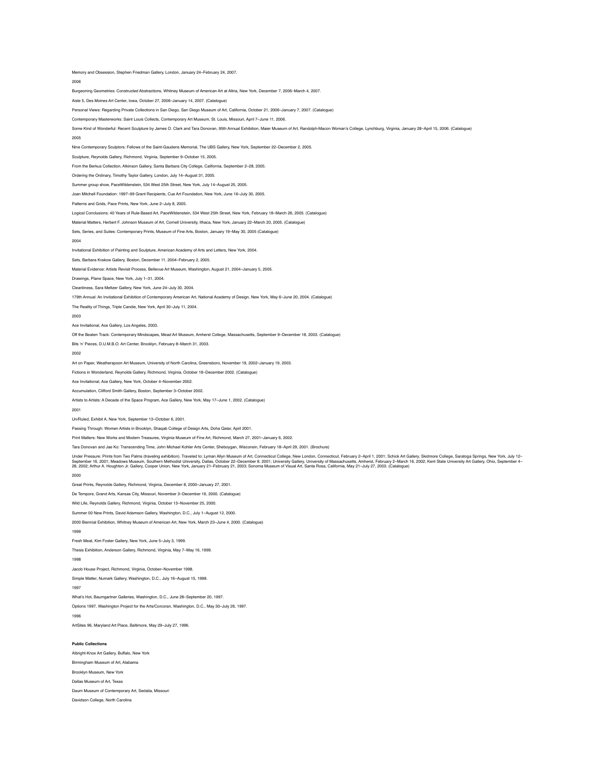Memory and Obsession, Stephen Friedman Gallery, London, January 24–February 24, 2007.

2006

Burgeoning Geometries: Constructed Abstractions, Whitney Museum of American Art at Altria, New York, December 7, 2006–March 4, 2007.

Aisle 5, Des Moines Art Center, Iowa, October 27, 2006–January 14, 2007. (Catalogue)

Personal Views: Regarding Private Collections in San Diego, San Diego Museum of Art, California, October 21, 2006–January 7, 2007. (Catalogue)

Contemporary Masterworks: Saint Louis Collects, Contemporary Art Museum, St. Louis, Missouri, April 7–June 11, 2006.

Some Kind of Wonderful: Recent Sculpture by James O. Clark and Tara Donovan, 95th Annual Exhibition, Maier Museum of Art, Randolph-Macon Woman's College, Lynchburg, Virginia, January 28–April 15, 2006. (Catalogue)

### 2005

Nine Contemporary Sculptors: Fellows of the Saint-Gaudens Memorial, The UBS Gallery, New York, September 22–December 2, 2005.

Sculpture, Reynolds Gallery, Richmond, Virginia, September 9–October 15, 2005.

From the Berkus Collection, Atkinson Gallery, Santa Barbara City College, California, September 2–28, 2005.

Ordering the Ordinary, Timothy Taylor Gallery, London, July 14–August 31, 2005.

Summer group show, PaceWildenstein, 534 West 25th Street, New York, July 14–August 25, 2005.

Joan Mitchell Foundation: 1997–99 Grant Recipients, Cue Art Foundation, New York, June 16–July 30, 2005.

Patterns and Grids, Pace Prints, New York, June 2–July 8, 2005.

Logical Conclusions: 40 Years of Rule-Based Art, PaceWildenstein, 534 West 25th Street, New York, February 18–March 26, 2005. (Catalogue)

Material Matters, Herbert F. Johnson Museum of Art, Cornell University, Ithaca, New York, January 22–March 20, 2005. (Catalogue)

Sets, Series, and Suites: Contemporary Prints, Museum of Fine Arts, Boston, January 19–May 30, 2005 (Catalogue)

2004

Invitational Exhibition of Painting and Sculpture, American Academy of Arts and Letters, New York, 2004.

Sets, Barbara Krakow Gallery, Boston, December 11, 2004–February 2, 2005.

Material Evidence: Artists Revisit Process, Bellevue Art Museum, Washington, August 21, 2004–January 5, 2005.

Drawings, Plane Space, New York, July 1–31, 2004.

Cleanliness, Sara Meltzer Gallery, New York, June 24–July 30, 2004.

179th Annual: An Invitational Exhibition of Contemporary American Art, National Academy of Design, New York, May 6–June 20, 2004. (Catalogue)

The Reality of Things, Triple Candie, New York, April 30–July 11, 2004.

2003

Ace Invitational, Ace Gallery, Los Angeles, 2003.

Off the Beaten Track: Contemporary Mindscapes, Mead Art Museum, Amherst College, Massachusetts, September 9–December 18, 2003. (Catalogue)

Bits 'n' Pieces, D.U.M.B.O. Art Center, Brooklyn, February 8–March 31, 2003.

2002

Art on Paper, Weatherspoon Art Museum, University of North Carolina, Greensboro, November 19, 2002–January 19, 2003.

Fictions in Wonderland, Reynolds Gallery, Richmond, Virginia, October 18–December 2002. (Catalogue)

Ace Invitational, Ace Gallery, New York, October 4–November 2002.

Accumulation, Clifford Smith Gallery, Boston, September 3–October 2002.

Artists to Artists: A Decade of the Space Program, Ace Gallery, New York, May 17–June 1, 2002. (Catalogue)

2001

Un/Ruled, Exhibit A, New York, September 13–October 6, 2001.

Passing Through: Women Artists in Brooklyn, Shaqab College of Design Arts, Doha Qatar, April 2001.

Print Matters: New Works and Modern Treasures, Virginia Museum of Fine Art, Richmond, March 27, 2001–January 6, 2002.

Tara Donovan and Jae Ko: Transcending Time, John Michael Kohler Arts Center, Sheboygan, Wisconsin, February 18–April 29, 2001. (Brochure)

Under Pressure: Prints from Two Palms (traveling exhibition). Traveled to: Lyman Allyn Museum of Art, Connecticut College, New London, Connecticut, February 2–April 1, 2001; Schick Art Gallery, Skidmore College, Saratoga S

2000

Great Prints, Reynolds Gallery, Richmond, Virginia, December 8, 2000–January 27, 2001.

De Tempore, Grand Arts, Kansas City, Missouri, November 3–December 16, 2000. (Catalogue)

Wild Life, Reynolds Gallery, Richmond, Virginia, October 13–November 25, 2000.

Summer 00 New Prints, David Adamson Gallery, Washington, D.C., July 1–August 12, 2000.

2000 Biennial Exhibition, Whitney Museum of American Art, New York, March 23–June 4, 2000. (Catalogue)

### 1999

Fresh Meat, Kim Foster Gallery, New York, June 5–July 3, 1999.

Thesis Exhibition, Anderson Gallery, Richmond, Virginia, May 7–May 16, 1999.

1998

Jacob House Project, Richmond, Virginia, October–November 1998.

Simple Matter, Numark Gallery, Washington, D.C., July 16–August 15, 1998.

1997

What's Hot, Baumgartner Galleries, Washington, D.C., June 28–September 20, 1997.

Options 1997, Washington Project for the Arts/Corcoran, Washington, D.C., May 30–July 26, 1997.

1996

ArtSites 96, Maryland Art Place, Baltimore, May 29–July 27, 1996.

# **Public Collection**

Albright-Knox Art Gallery, Buffalo, New York Birmingham Museum of Art, Alabama Brooklyn Museum, New York Dallas Museum of Art, Texas Daum Museum of Contemporary Art, Sedalia, Missouri Davidson College, North Carolina